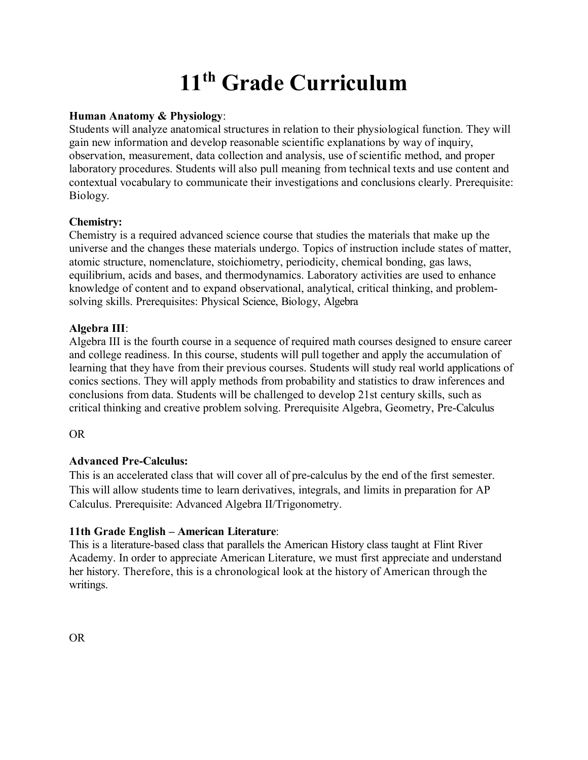# **11th Grade Curriculum**

## **Human Anatomy & Physiology**:

Students will analyze anatomical structures in relation to their physiological function. They will gain new information and develop reasonable scientific explanations by way of inquiry, observation, measurement, data collection and analysis, use of scientific method, and proper laboratory procedures. Students will also pull meaning from technical texts and use content and contextual vocabulary to communicate their investigations and conclusions clearly. Prerequisite: Biology.

## **Chemistry:**

Chemistry is a required advanced science course that studies the materials that make up the universe and the changes these materials undergo. Topics of instruction include states of matter, atomic structure, nomenclature, stoichiometry, periodicity, chemical bonding, gas laws, equilibrium, acids and bases, and thermodynamics. Laboratory activities are used to enhance knowledge of content and to expand observational, analytical, critical thinking, and problemsolving skills. Prerequisites: Physical Science, Biology, Algebra

# **Algebra III**:

Algebra III is the fourth course in a sequence of required math courses designed to ensure career and college readiness. In this course, students will pull together and apply the accumulation of learning that they have from their previous courses. Students will study real world applications of conics sections. They will apply methods from probability and statistics to draw inferences and conclusions from data. Students will be challenged to develop 21st century skills, such as critical thinking and creative problem solving. Prerequisite Algebra, Geometry, Pre-Calculus

## OR

# **Advanced Pre-Calculus:**

This is an accelerated class that will cover all of pre-calculus by the end of the first semester. This will allow students time to learn derivatives, integrals, and limits in preparation for AP Calculus. Prerequisite: Advanced Algebra II/Trigonometry.

## **11th Grade English – American Literature**:

This is a literature-based class that parallels the American History class taught at Flint River Academy. In order to appreciate American Literature, we must first appreciate and understand her history. Therefore, this is a chronological look at the history of American through the writings.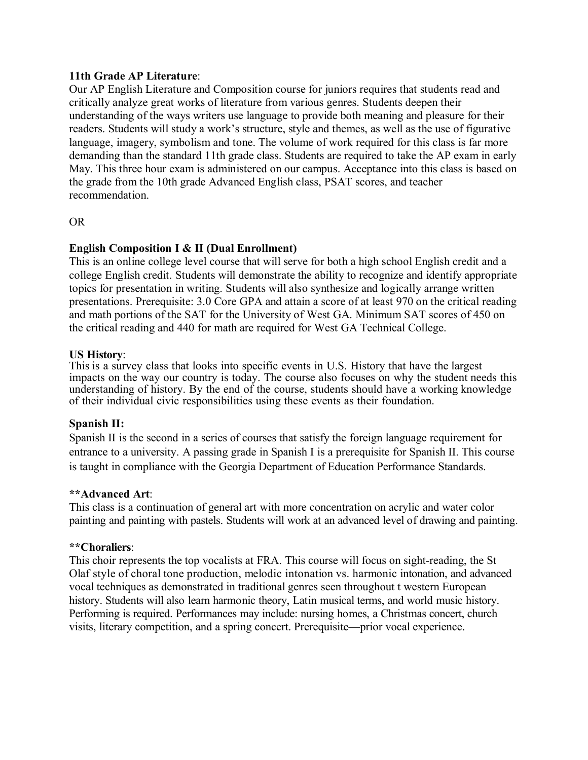#### **11th Grade AP Literature**:

Our AP English Literature and Composition course for juniors requires that students read and critically analyze great works of literature from various genres. Students deepen their understanding of the ways writers use language to provide both meaning and pleasure for their readers. Students will study a work's structure, style and themes, as well as the use of figurative language, imagery, symbolism and tone. The volume of work required for this class is far more demanding than the standard 11th grade class. Students are required to take the AP exam in early May. This three hour exam is administered on our campus. Acceptance into this class is based on the grade from the 10th grade Advanced English class, PSAT scores, and teacher recommendation.

#### OR

#### **English Composition I & II (Dual Enrollment)**

This is an online college level course that will serve for both a high school English credit and a college English credit. Students will demonstrate the ability to recognize and identify appropriate topics for presentation in writing. Students will also synthesize and logically arrange written presentations. Prerequisite: 3.0 Core GPA and attain a score of at least 970 on the critical reading and math portions of the SAT for the University of West GA. Minimum SAT scores of 450 on the critical reading and 440 for math are required for West GA Technical College.

#### **US History**:

This is a survey class that looks into specific events in U.S. History that have the largest impacts on the way our country is today. The course also focuses on why the student needs this understanding of history. By the end of the course, students should have a working knowledge of their individual civic responsibilities using these events as their foundation.

#### **Spanish II:**

Spanish II is the second in a series of courses that satisfy the foreign language requirement for entrance to a university. A passing grade in Spanish I is a prerequisite for Spanish II. This course is taught in compliance with the Georgia Department of Education Performance Standards.

#### **\*\*Advanced Art**:

This class is a continuation of general art with more concentration on acrylic and water color painting and painting with pastels. Students will work at an advanced level of drawing and painting.

#### **\*\*Choraliers**:

This choir represents the top vocalists at FRA. This course will focus on sight-reading, the St Olaf style of choral tone production, melodic intonation vs. harmonic intonation, and advanced vocal techniques as demonstrated in traditional genres seen throughout t western European history. Students will also learn harmonic theory, Latin musical terms, and world music history. Performing is required. Performances may include: nursing homes, a Christmas concert, church visits, literary competition, and a spring concert. Prerequisite—prior vocal experience.